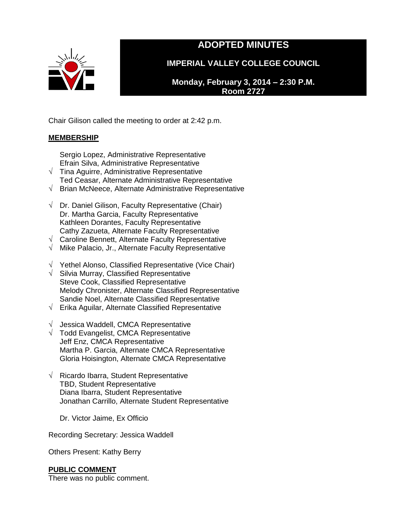

# **ADOPTED MINUTES**

**IMPERIAL VALLEY COLLEGE COUNCIL**

**Monday, February 3, 2014 – 2:30 P.M. Room 2727**

Chair Gilison called the meeting to order at 2:42 p.m.

## **MEMBERSHIP**

Sergio Lopez, Administrative Representative Efrain Silva, Administrative Representative

- $\sqrt{\phantom{a}}$  Tina Aguirre, Administrative Representative Ted Ceasar, Alternate Administrative Representative
- √ Brian McNeece, Alternate Administrative Representative
- $\sqrt{ }$  Dr. Daniel Gilison, Faculty Representative (Chair) Dr. Martha Garcia, Faculty Representative Kathleen Dorantes, Faculty Representative Cathy Zazueta, Alternate Faculty Representative
- √ Caroline Bennett, Alternate Faculty Representative
- √ Mike Palacio, Jr., Alternate Faculty Representative
- √ Yethel Alonso, Classified Representative (Vice Chair)
- √ Silvia Murray, Classified Representative Steve Cook, Classified Representative Melody Chronister, Alternate Classified Representative Sandie Noel, Alternate Classified Representative
- $\sqrt{\phantom{a}}$  Erika Aguilar, Alternate Classified Representative
- $\sqrt{\phantom{a}}$  Jessica Waddell, CMCA Representative
- √ Todd Evangelist, CMCA Representative Jeff Enz, CMCA Representative Martha P. Garcia, Alternate CMCA Representative Gloria Hoisington, Alternate CMCA Representative
- √ Ricardo Ibarra, Student Representative TBD, Student Representative Diana Ibarra, Student Representative Jonathan Carrillo, Alternate Student Representative

Dr. Victor Jaime, Ex Officio

Recording Secretary: Jessica Waddell

Others Present: Kathy Berry

## **PUBLIC COMMENT**

There was no public comment.